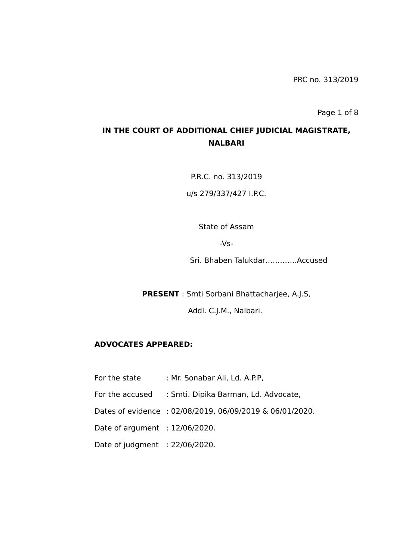Page 1 of 8

# **IN THE COURT OF ADDITIONAL CHIEF JUDICIAL MAGISTRATE, NALBARI**

P.R.C. no. 313/2019

u/s 279/337/427 I.P.C.

State of Assam

-Vs-

Sri. Bhaben Talukdar………….Accused

**PRESENT** : Smti Sorbani Bhattacharjee, A.J.S,

Addl. C.J.M., Nalbari.

## **ADVOCATES APPEARED:**

- For the state : Mr. Sonabar Ali, Ld. A.P.P,
- For the accused : Smti. Dipika Barman, Ld. Advocate,
- Dates of evidence : 02/08/2019, 06/09/2019 & 06/01/2020.
- Date of argument : 12/06/2020.
- Date of judgment : 22/06/2020.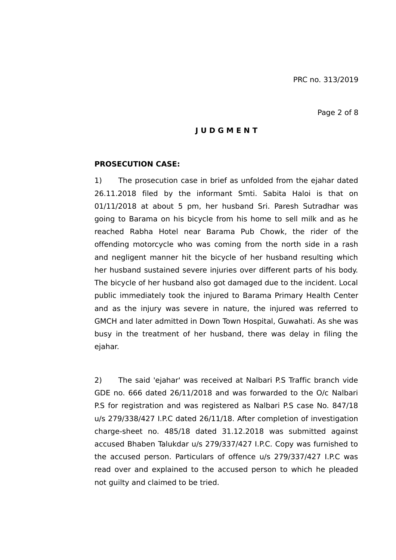#### Page 2 of 8

## **J U D G M E N T**

### **PROSECUTION CASE:**

1) The prosecution case in brief as unfolded from the ejahar dated 26.11.2018 filed by the informant Smti. Sabita Haloi is that on 01/11/2018 at about 5 pm, her husband Sri. Paresh Sutradhar was going to Barama on his bicycle from his home to sell milk and as he reached Rabha Hotel near Barama Pub Chowk, the rider of the offending motorcycle who was coming from the north side in a rash and negligent manner hit the bicycle of her husband resulting which her husband sustained severe injuries over different parts of his body. The bicycle of her husband also got damaged due to the incident. Local public immediately took the injured to Barama Primary Health Center and as the injury was severe in nature, the injured was referred to GMCH and later admitted in Down Town Hospital, Guwahati. As she was busy in the treatment of her husband, there was delay in filing the ejahar.

2) The said 'ejahar' was received at Nalbari P.S Traffic branch vide GDE no. 666 dated 26/11/2018 and was forwarded to the O/c Nalbari P.S for registration and was registered as Nalbari P.S case No. 847/18 u/s 279/338/427 I.P.C dated 26/11/18. After completion of investigation charge-sheet no. 485/18 dated 31.12.2018 was submitted against accused Bhaben Talukdar u/s 279/337/427 I.P.C. Copy was furnished to the accused person. Particulars of offence u/s 279/337/427 I.P.C was read over and explained to the accused person to which he pleaded not guilty and claimed to be tried.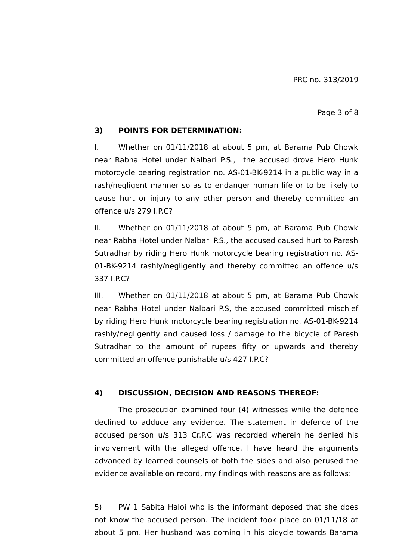#### Page 3 of 8

## **3) POINTS FOR DETERMINATION:**

I. Whether on 01/11/2018 at about 5 pm, at Barama Pub Chowk near Rabha Hotel under Nalbari P.S., the accused drove Hero Hunk motorcycle bearing registration no. AS-01-BK-9214 in a public way in a rash/negligent manner so as to endanger human life or to be likely to cause hurt or injury to any other person and thereby committed an offence u/s 279 I.P.C?

II. Whether on 01/11/2018 at about 5 pm, at Barama Pub Chowk near Rabha Hotel under Nalbari P.S., the accused caused hurt to Paresh Sutradhar by riding Hero Hunk motorcycle bearing registration no. AS-01-BK-9214 rashly/negligently and thereby committed an offence u/s 337 I.P.C?

III. Whether on 01/11/2018 at about 5 pm, at Barama Pub Chowk near Rabha Hotel under Nalbari P.S, the accused committed mischief by riding Hero Hunk motorcycle bearing registration no. AS-01-BK-9214 rashly/negligently and caused loss / damage to the bicycle of Paresh Sutradhar to the amount of rupees fifty or upwards and thereby committed an offence punishable u/s 427 I.P.C?

# **4) DISCUSSION, DECISION AND REASONS THEREOF:**

The prosecution examined four (4) witnesses while the defence declined to adduce any evidence. The statement in defence of the accused person u/s 313 Cr.P.C was recorded wherein he denied his involvement with the alleged offence. I have heard the arguments advanced by learned counsels of both the sides and also perused the evidence available on record, my findings with reasons are as follows:

5) PW 1 Sabita Haloi who is the informant deposed that she does not know the accused person. The incident took place on 01/11/18 at about 5 pm. Her husband was coming in his bicycle towards Barama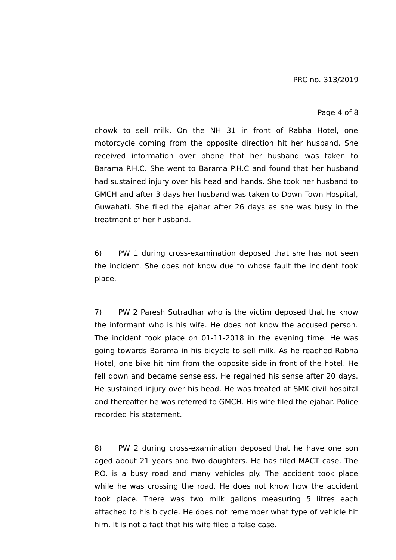#### Page 4 of 8

chowk to sell milk. On the NH 31 in front of Rabha Hotel, one motorcycle coming from the opposite direction hit her husband. She received information over phone that her husband was taken to Barama P.H.C. She went to Barama P.H.C and found that her husband had sustained injury over his head and hands. She took her husband to GMCH and after 3 days her husband was taken to Down Town Hospital, Guwahati. She filed the ejahar after 26 days as she was busy in the treatment of her husband.

6) PW 1 during cross-examination deposed that she has not seen the incident. She does not know due to whose fault the incident took place.

7) PW 2 Paresh Sutradhar who is the victim deposed that he know the informant who is his wife. He does not know the accused person. The incident took place on 01-11-2018 in the evening time. He was going towards Barama in his bicycle to sell milk. As he reached Rabha Hotel, one bike hit him from the opposite side in front of the hotel. He fell down and became senseless. He regained his sense after 20 days. He sustained injury over his head. He was treated at SMK civil hospital and thereafter he was referred to GMCH. His wife filed the ejahar. Police recorded his statement.

8) PW 2 during cross-examination deposed that he have one son aged about 21 years and two daughters. He has filed MACT case. The P.O. is a busy road and many vehicles ply. The accident took place while he was crossing the road. He does not know how the accident took place. There was two milk gallons measuring 5 litres each attached to his bicycle. He does not remember what type of vehicle hit him. It is not a fact that his wife filed a false case.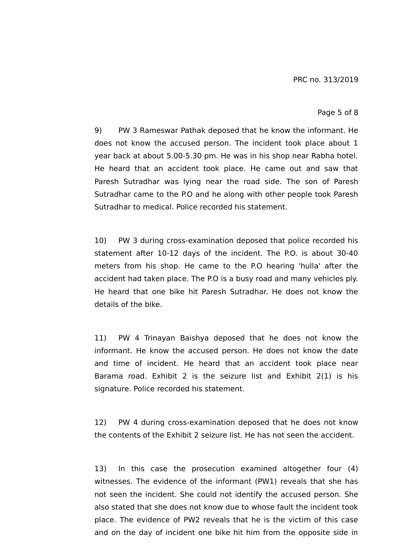#### Page 5 of 8

9) PW 3 Rameswar Pathak deposed that he know the informant. He does not know the accused person. The incident took place about 1 year back at about 5.00-5.30 pm. He was in his shop near Rabha hotel. He heard that an accident took place. He came out and saw that Paresh Sutradhar was lying near the road side. The son of Paresh Sutradhar came to the P.O and he along with other people took Paresh Sutradhar to medical. Police recorded his statement.

10) PW 3 during cross-examination deposed that police recorded his statement after 10-12 days of the incident. The P.O. is about 30-40 meters from his shop. He came to the P.O hearing 'hulla' after the accident had taken place. The P.O is a busy road and many vehicles ply. He heard that one bike hit Paresh Sutradhar. He does not know the details of the bike.

11) PW 4 Trinayan Baishya deposed that he does not know the informant. He know the accused person. He does not know the date and time of incident. He heard that an accident took place near Barama road. Exhibit 2 is the seizure list and Exhibit 2(1) is his signature. Police recorded his statement.

12) PW 4 during cross-examination deposed that he does not know the contents of the Exhibit 2 seizure list. He has not seen the accident.

13) In this case the prosecution examined altogether four (4) witnesses. The evidence of the informant (PW1) reveals that she has not seen the incident. She could not identify the accused person. She also stated that she does not know due to whose fault the incident took place. The evidence of PW2 reveals that he is the victim of this case and on the day of incident one bike hit him from the opposite side in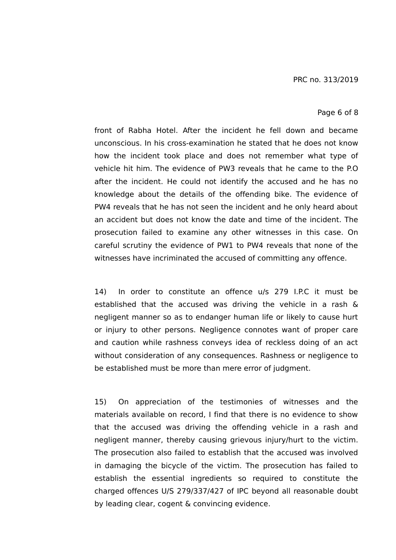#### Page 6 of 8

front of Rabha Hotel. After the incident he fell down and became unconscious. In his cross-examination he stated that he does not know how the incident took place and does not remember what type of vehicle hit him. The evidence of PW3 reveals that he came to the P.O after the incident. He could not identify the accused and he has no knowledge about the details of the offending bike. The evidence of PW4 reveals that he has not seen the incident and he only heard about an accident but does not know the date and time of the incident. The prosecution failed to examine any other witnesses in this case. On careful scrutiny the evidence of PW1 to PW4 reveals that none of the witnesses have incriminated the accused of committing any offence.

14) In order to constitute an offence u/s 279 I.P.C it must be established that the accused was driving the vehicle in a rash & negligent manner so as to endanger human life or likely to cause hurt or injury to other persons. Negligence connotes want of proper care and caution while rashness conveys idea of reckless doing of an act without consideration of any consequences. Rashness or negligence to be established must be more than mere error of judgment.

15) On appreciation of the testimonies of witnesses and the materials available on record, I find that there is no evidence to show that the accused was driving the offending vehicle in a rash and negligent manner, thereby causing grievous injury/hurt to the victim. The prosecution also failed to establish that the accused was involved in damaging the bicycle of the victim. The prosecution has failed to establish the essential ingredients so required to constitute the charged offences U/S 279/337/427 of IPC beyond all reasonable doubt by leading clear, cogent & convincing evidence.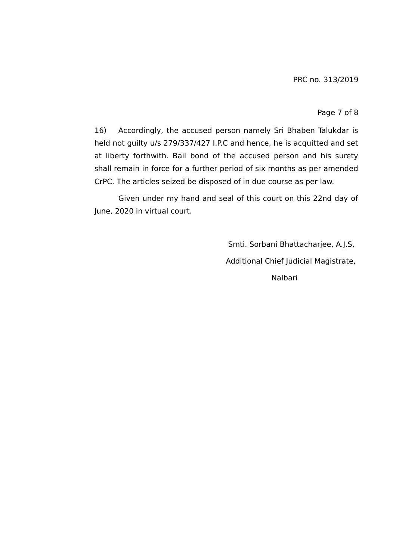#### Page 7 of 8

16) Accordingly, the accused person namely Sri Bhaben Talukdar is held not guilty u/s 279/337/427 I.P.C and hence, he is acquitted and set at liberty forthwith. Bail bond of the accused person and his surety shall remain in force for a further period of six months as per amended CrPC. The articles seized be disposed of in due course as per law.

Given under my hand and seal of this court on this 22nd day of June, 2020 in virtual court.

> Smti. Sorbani Bhattacharjee, A.J.S, Additional Chief Judicial Magistrate, Nalbari